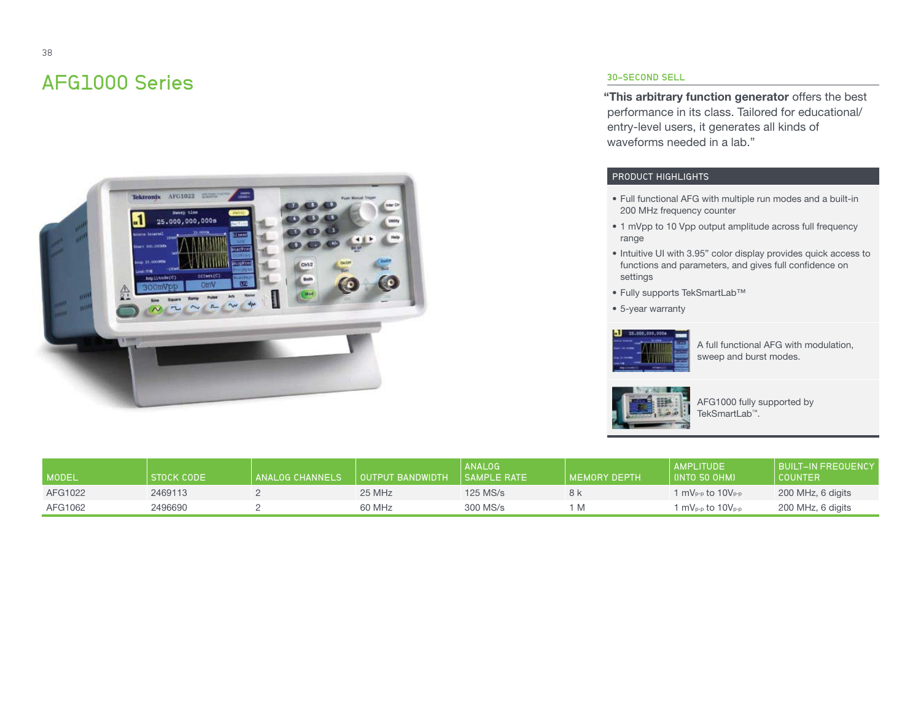# AFG1000 Series



## 30-SECOND SELL

**"This arbitrary function generator** offers the best performance in its class. Tailored for educational/ entry-level users, it generates all kinds of waveforms needed in a lab."

#### PRODUCT HIGHLIGHTS

- Full functional AFG with multiple run modes and a built-in 200 MHz frequency counter
- 1 mVpp to 10 Vpp output amplitude across full frequency range
- Intuitive UI with 3.95" color display provides quick access to functions and parameters, and gives full confidence on settings
- Fully supports TekSmartLab™
- 5-year warranty



A full functional AFG with modulation, sweep and burst modes.



AFG1000 fully supported by TekSmartLab™.

| MODEL   | STOCK CODE | <b>ANALOG CHANNELS</b> | OUTPUT BANDWIDTH | <b>ANALOG</b><br>I SAMPLE RATE | I MEMORY DEPTH | AMPLITUDE<br>(INTO 50 OHM) | BUILT-IN FREQUENCY<br><b>COUNTER</b> |
|---------|------------|------------------------|------------------|--------------------------------|----------------|----------------------------|--------------------------------------|
| AFG1022 | 2469113    |                        | 25 MHz           | $125$ MS/s                     | 8 k            | 1 mVp-p to 10Vp-p          | 200 MHz, 6 digits                    |
| AFG1062 | 2496690    |                        | 60 MHz           | 300 MS/s                       |                | $mV_{P-p}$ to 10 $V_{P-p}$ | 200 MHz, 6 digits                    |